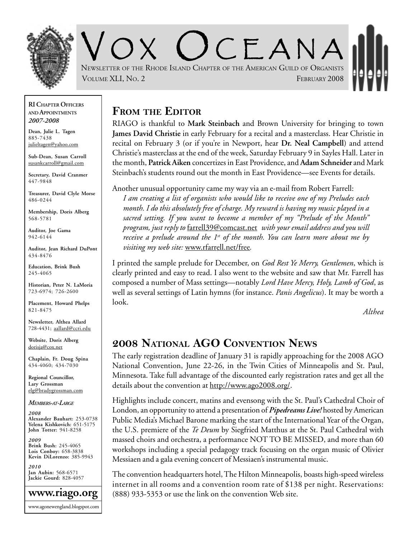

 $CFANA$ NEWSLETTER OF THE RHODE ISLAND CHAPTER OF THE AMERICAN GUILD OF ORGANISTS VOLUME XLI, NO. 2 **FEBRUARY 2008** 

#### **RI CHAPTER OFFICERS AND APPOINTMENTS** *2007-2008*

**Dean, Julie L. Tagen** 885-7438 julieltagen@yahoo.com

**Sub-Dean, Susan Carroll** susankcarroll@gmail.com

**Secretary, David Cranmer** 447-9848

**Treasurer, David Clyle Morse** 486-0244

**Membership, Doris Alberg** 568-5781

**Auditor, Joe Gama** 942-6144

**Auditor, Jean Richard DuPont** 434-8476

**Education, Brink Bush** 245-4065

**Historian, Peter N. LaMoria** 723-6974; 726-2600

**Placement, Howard Phelps** 821-8475

**Newsletter, Althea Allard** 728-4431; aallard@ccri.edu

**Website**, **Doris Alberg** dorisja@cox.net

**Chaplain, Fr. Doug Spina** 434-4060; 434-7030

**Regional Councillor, Lary Grossman** elg@bradygrossman.com

#### *MEMBERS-AT-LARGE*

*2008* **Alexander Bauhart:** 253-0738 **Yelena Kishkovich:** 651-5175 **John Totter:** 941-8258

*2009* **Brink Bush:** 245-4065 **Lois Conboy:** 658-3838 **Kevin DiLorenzo:** 385-9943

*2010* **Jan Aubin:** 568-6571 **Jackie Gourd:** 828-4057



## **FROM THE EDITOR**

RIAGO is thankful to **Mark Steinbach** and Brown University for bringing to town **James David Christie** in early February for a recital and a masterclass. Hear Christie in recital on February 3 (or if you're in Newport, hear **Dr. Neal Campbell**) and attend Christie's masterclass at the end of the week, Saturday February 9 in Sayles Hall. Later in the month, **Patrick Aiken** concertizes in East Providence, and **Adam Schneider** and Mark Steinbach's students round out the month in East Providence—see Events for details.

Another unusual opportunity came my way via an e-mail from Robert Farrell: *I am creating a list of organists who would like to receive one of my Preludes each*

*month. I do this absolutely free of charge. My reward is having my music played in a sacred setting. If you want to become a member of my "Prelude of the Month" program, just reply to* farrell39@comcast.net *with your email address and you will receive a prelude around the 1st of the month. You can learn more about me by visiting my web site:* www.rfarrell.net/free*.*

I printed the sample prelude for December, on *God Rest Ye Merry, Gentlemen*, which is clearly printed and easy to read. I also went to the website and saw that Mr. Farrell has composed a number of Mass settings—notably *Lord Have Mercy, Holy, Lamb of God*, as well as several settings of Latin hymns (for instance. *Panis Angelicus*). It may be worth a look.

*Althea*

# **2008 NATIONAL AGO CONVENTION NEWS**

The early registration deadline of January 31 is rapidly approaching for the 2008 AGO National Convention, June 22-26, in the Twin Cities of Minneapolis and St. Paul, Minnesota. Take full advantage of the discounted early registration rates and get all the details about the convention at http://www.ago2008.org/.

Highlights include concert, matins and evensong with the St. Paul's Cathedral Choir of London, an opportunity to attend a presentation of *Pipedreams Live!* hosted by American Public Media's Michael Barone marking the start of the International Year of the Organ, the U.S. premiere of the *Te Deum* by Siegfried Matthus at the St. Paul Cathedral with massed choirs and orchestra, a performance NOT TO BE MISSED, and more than 60 workshops including a special pedagogy track focusing on the organ music of Olivier Messiaen and a gala evening concert of Messiaen's instrumental music.

The convention headquarters hotel, The Hilton Minneapolis, boasts high-speed wireless internet in all rooms and a convention room rate of \$138 per night. Reservations: (888) 933-5353 or use the link on the convention Web site.